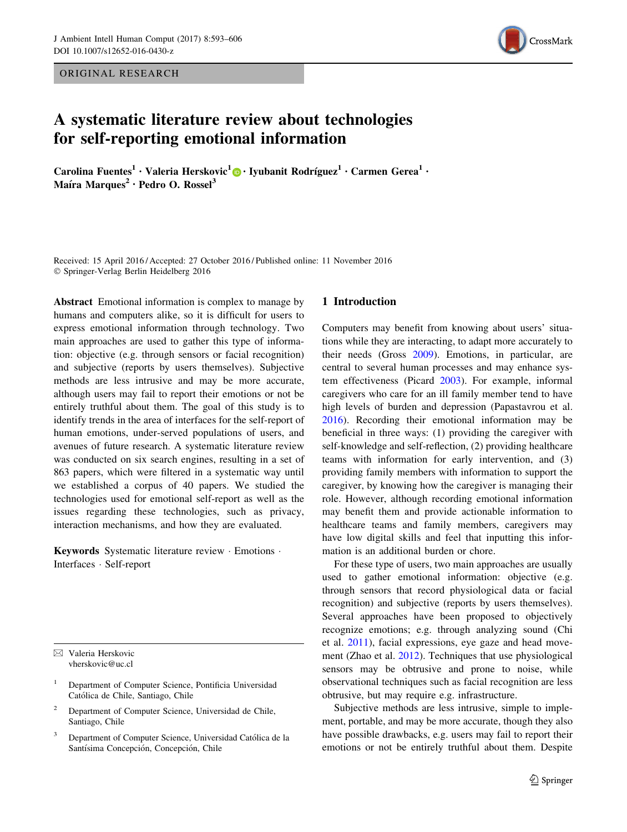ORIGINAL RESEARCH



# A systematic literature review about technologies for self-reporting emotional information

Carolina Fuentes<sup>1</sup> • Valeria Herskovic<sup>1</sup> $\bigcirc$  • Iyubanit Rodríguez<sup>1</sup> • Carmen Gerea<sup>1</sup> • Maíra Marques<sup>2</sup> · Pedro O. Rossel<sup>3</sup>

Received: 15 April 2016 / Accepted: 27 October 2016 / Published online: 11 November 2016 - Springer-Verlag Berlin Heidelberg 2016

Abstract Emotional information is complex to manage by humans and computers alike, so it is difficult for users to express emotional information through technology. Two main approaches are used to gather this type of information: objective (e.g. through sensors or facial recognition) and subjective (reports by users themselves). Subjective methods are less intrusive and may be more accurate, although users may fail to report their emotions or not be entirely truthful about them. The goal of this study is to identify trends in the area of interfaces for the self-report of human emotions, under-served populations of users, and avenues of future research. A systematic literature review was conducted on six search engines, resulting in a set of 863 papers, which were filtered in a systematic way until we established a corpus of 40 papers. We studied the technologies used for emotional self-report as well as the issues regarding these technologies, such as privacy, interaction mechanisms, and how they are evaluated.

Keywords Systematic literature review · Emotions · Interfaces - Self-report

 $\boxtimes$  Valeria Herskovic vherskovic@uc.cl

- <sup>1</sup> Department of Computer Science, Pontificia Universidad Católica de Chile, Santiago, Chile
- <sup>2</sup> Department of Computer Science, Universidad de Chile, Santiago, Chile
- Department of Computer Science, Universidad Católica de la Santísima Concepción, Concepción, Chile

#### 1 Introduction

Computers may benefit from knowing about users' situations while they are interacting, to adapt more accurately to their needs (Gross [2009](#page-12-0)). Emotions, in particular, are central to several human processes and may enhance system effectiveness (Picard [2003](#page-13-0)). For example, informal caregivers who care for an ill family member tend to have high levels of burden and depression (Papastavrou et al. [2016](#page-13-0)). Recording their emotional information may be beneficial in three ways: (1) providing the caregiver with self-knowledge and self-reflection, (2) providing healthcare teams with information for early intervention, and (3) providing family members with information to support the caregiver, by knowing how the caregiver is managing their role. However, although recording emotional information may benefit them and provide actionable information to healthcare teams and family members, caregivers may have low digital skills and feel that inputting this information is an additional burden or chore.

For these type of users, two main approaches are usually used to gather emotional information: objective (e.g. through sensors that record physiological data or facial recognition) and subjective (reports by users themselves). Several approaches have been proposed to objectively recognize emotions; e.g. through analyzing sound (Chi et al. [2011](#page-12-0)), facial expressions, eye gaze and head movement (Zhao et al. [2012\)](#page-13-0). Techniques that use physiological sensors may be obtrusive and prone to noise, while observational techniques such as facial recognition are less obtrusive, but may require e.g. infrastructure.

Subjective methods are less intrusive, simple to implement, portable, and may be more accurate, though they also have possible drawbacks, e.g. users may fail to report their emotions or not be entirely truthful about them. Despite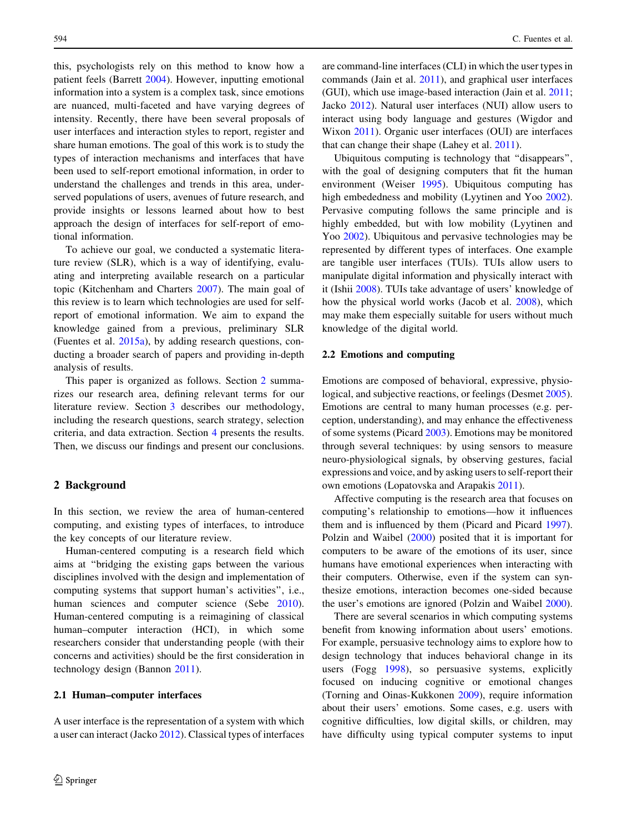this, psychologists rely on this method to know how a patient feels (Barrett [2004](#page-12-0)). However, inputting emotional information into a system is a complex task, since emotions are nuanced, multi-faceted and have varying degrees of intensity. Recently, there have been several proposals of user interfaces and interaction styles to report, register and share human emotions. The goal of this work is to study the types of interaction mechanisms and interfaces that have been used to self-report emotional information, in order to understand the challenges and trends in this area, underserved populations of users, avenues of future research, and provide insights or lessons learned about how to best approach the design of interfaces for self-report of emotional information.

To achieve our goal, we conducted a systematic literature review (SLR), which is a way of identifying, evaluating and interpreting available research on a particular topic (Kitchenham and Charters [2007\)](#page-12-0). The main goal of this review is to learn which technologies are used for selfreport of emotional information. We aim to expand the knowledge gained from a previous, preliminary SLR (Fuentes et al. [2015a](#page-12-0)), by adding research questions, conducting a broader search of papers and providing in-depth analysis of results.

This paper is organized as follows. Section 2 summarizes our research area, defining relevant terms for our literature review. Section [3](#page-2-0) describes our methodology, including the research questions, search strategy, selection criteria, and data extraction. Section [4](#page-3-0) presents the results. Then, we discuss our findings and present our conclusions.

#### 2 Background

In this section, we review the area of human-centered computing, and existing types of interfaces, to introduce the key concepts of our literature review.

Human-centered computing is a research field which aims at ''bridging the existing gaps between the various disciplines involved with the design and implementation of computing systems that support human's activities'', i.e., human sciences and computer science (Sebe [2010](#page-13-0)). Human-centered computing is a reimagining of classical human–computer interaction (HCI), in which some researchers consider that understanding people (with their concerns and activities) should be the first consideration in technology design (Bannon [2011\)](#page-12-0).

#### 2.1 Human–computer interfaces

A user interface is the representation of a system with which a user can interact (Jacko [2012](#page-12-0)). Classical types of interfaces are command-line interfaces (CLI) in which the user types in commands (Jain et al. [2011\)](#page-12-0), and graphical user interfaces (GUI), which use image-based interaction (Jain et al. [2011](#page-12-0); Jacko [2012\)](#page-12-0). Natural user interfaces (NUI) allow users to interact using body language and gestures (Wigdor and Wixon [2011](#page-13-0)). Organic user interfaces (OUI) are interfaces that can change their shape (Lahey et al. [2011](#page-12-0)).

Ubiquitous computing is technology that ''disappears'', with the goal of designing computers that fit the human environment (Weiser [1995](#page-13-0)). Ubiquitous computing has high embededness and mobility (Lyytinen and Yoo [2002](#page-13-0)). Pervasive computing follows the same principle and is highly embedded, but with low mobility (Lyytinen and Yoo [2002](#page-13-0)). Ubiquitous and pervasive technologies may be represented by different types of interfaces. One example are tangible user interfaces (TUIs). TUIs allow users to manipulate digital information and physically interact with it (Ishii [2008](#page-12-0)). TUIs take advantage of users' knowledge of how the physical world works (Jacob et al. [2008](#page-12-0)), which may make them especially suitable for users without much knowledge of the digital world.

#### 2.2 Emotions and computing

Emotions are composed of behavioral, expressive, physiological, and subjective reactions, or feelings (Desmet [2005](#page-12-0)). Emotions are central to many human processes (e.g. perception, understanding), and may enhance the effectiveness of some systems (Picard [2003](#page-13-0)). Emotions may be monitored through several techniques: by using sensors to measure neuro-physiological signals, by observing gestures, facial expressions and voice, and by asking users to self-report their own emotions (Lopatovska and Arapakis [2011\)](#page-13-0).

Affective computing is the research area that focuses on computing's relationship to emotions—how it influences them and is influenced by them (Picard and Picard [1997](#page-13-0)). Polzin and Waibel [\(2000](#page-13-0)) posited that it is important for computers to be aware of the emotions of its user, since humans have emotional experiences when interacting with their computers. Otherwise, even if the system can synthesize emotions, interaction becomes one-sided because the user's emotions are ignored (Polzin and Waibel [2000](#page-13-0)).

There are several scenarios in which computing systems benefit from knowing information about users' emotions. For example, persuasive technology aims to explore how to design technology that induces behavioral change in its users (Fogg [1998](#page-12-0)), so persuasive systems, explicitly focused on inducing cognitive or emotional changes (Torning and Oinas-Kukkonen [2009](#page-13-0)), require information about their users' emotions. Some cases, e.g. users with cognitive difficulties, low digital skills, or children, may have difficulty using typical computer systems to input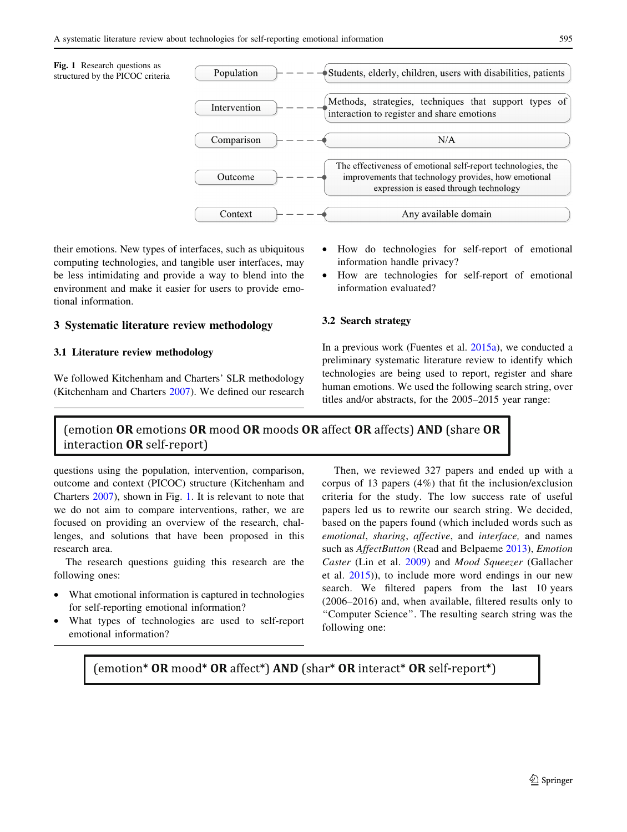<span id="page-2-0"></span>Fig. 1 Research questions as structured by the PICOC criteria



their emotions. New types of interfaces, such as ubiquitous computing technologies, and tangible user interfaces, may be less intimidating and provide a way to blend into the environment and make it easier for users to provide emotional information.

## 3 Systematic literature review methodology

#### 3.1 Literature review methodology

We followed Kitchenham and Charters' SLR methodology (Kitchenham and Charters [2007\)](#page-12-0). We defined our research • How do technologies for self-report of emotional information handle privacy?

• How are technologies for self-report of emotional information evaluated?

#### 3.2 Search strategy

In a previous work (Fuentes et al. [2015a\)](#page-12-0), we conducted a preliminary systematic literature review to identify which technologies are being used to report, register and share human emotions. We used the following search string, over titles and/or abstracts, for the 2005–2015 year range:

## (emotion OR emotions OR mood OR moods OR affect OR affects) AND (share OR interaction **OR** self-report)

questions using the population, intervention, comparison, outcome and context (PICOC) structure (Kitchenham and Charters [2007](#page-12-0)), shown in Fig. 1. It is relevant to note that we do not aim to compare interventions, rather, we are focused on providing an overview of the research, challenges, and solutions that have been proposed in this research area.

The research questions guiding this research are the following ones:

- What emotional information is captured in technologies for self-reporting emotional information?
- What types of technologies are used to self-report emotional information?

Then, we reviewed 327 papers and ended up with a corpus of 13 papers (4%) that fit the inclusion/exclusion criteria for the study. The low success rate of useful papers led us to rewrite our search string. We decided, based on the papers found (which included words such as emotional, sharing, affective, and interface, and names such as *AffectButton* (Read and Belpaeme [2013](#page-13-0)), *Emotion* Caster (Lin et al. [2009\)](#page-13-0) and Mood Squeezer (Gallacher et al. [2015](#page-12-0))), to include more word endings in our new search. We filtered papers from the last 10 years (2006–2016) and, when available, filtered results only to ''Computer Science''. The resulting search string was the following one:

(emotion\* OR mood\* OR affect\*) AND (shar\* OR interact\* OR self-report\*)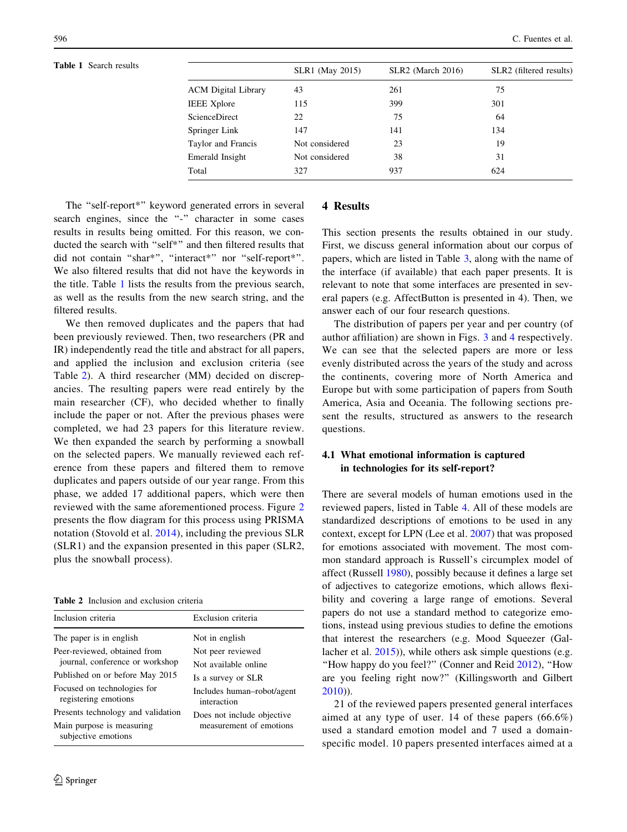<span id="page-3-0"></span>

| <b>Table 1</b> Search results |                            | <b>SLR1</b> (May 2015) | <b>SLR2</b> (March 2016) | SLR2 (filtered results) |
|-------------------------------|----------------------------|------------------------|--------------------------|-------------------------|
|                               | <b>ACM</b> Digital Library | 43                     | 261                      | 75                      |
|                               | <b>IEEE</b> Xplore         | 115                    | 399                      | 301                     |
|                               | ScienceDirect              | 22                     | 75                       | 64                      |
|                               | Springer Link              | 147                    | 141                      | 134                     |
|                               | Taylor and Francis         | Not considered         | 23                       | 19                      |
|                               | Emerald Insight            | Not considered         | 38                       | 31                      |
|                               | Total                      | 327                    | 937                      | 624                     |
|                               |                            |                        |                          |                         |

The "self-report\*" keyword generated errors in several search engines, since the "-" character in some cases results in results being omitted. For this reason, we conducted the search with ''self\*'' and then filtered results that did not contain "shar\*", "interact\*" nor "self-report\*". We also filtered results that did not have the keywords in the title. Table 1 lists the results from the previous search, as well as the results from the new search string, and the filtered results.

We then removed duplicates and the papers that had been previously reviewed. Then, two researchers (PR and IR) independently read the title and abstract for all papers, and applied the inclusion and exclusion criteria (see Table 2). A third researcher (MM) decided on discrepancies. The resulting papers were read entirely by the main researcher (CF), who decided whether to finally include the paper or not. After the previous phases were completed, we had 23 papers for this literature review. We then expanded the search by performing a snowball on the selected papers. We manually reviewed each reference from these papers and filtered them to remove duplicates and papers outside of our year range. From this phase, we added 17 additional papers, which were then reviewed with the same aforementioned process. Figure [2](#page-4-0) presents the flow diagram for this process using PRISMA notation (Stovold et al. [2014\)](#page-13-0), including the previous SLR (SLR1) and the expansion presented in this paper (SLR2, plus the snowball process).

Table 2 Inclusion and exclusion criteria

| Inclusion criteria                                                                                                                                                                                                          | Exclusion criteria                                                                                                                                           |
|-----------------------------------------------------------------------------------------------------------------------------------------------------------------------------------------------------------------------------|--------------------------------------------------------------------------------------------------------------------------------------------------------------|
| The paper is in english.<br>Peer-reviewed, obtained from<br>journal, conference or workshop<br>Published on or before May 2015<br>Focused on technologies for<br>registering emotions<br>Presents technology and validation | Not in english<br>Not peer reviewed<br>Not available online<br>Is a survey or SLR<br>Includes human-robot/agent<br>interaction<br>Does not include objective |
| Main purpose is measuring<br>subjective emotions                                                                                                                                                                            | measurement of emotions                                                                                                                                      |

#### 4 Results

This section presents the results obtained in our study. First, we discuss general information about our corpus of papers, which are listed in Table [3,](#page-5-0) along with the name of the interface (if available) that each paper presents. It is relevant to note that some interfaces are presented in several papers (e.g. AffectButton is presented in 4). Then, we answer each of our four research questions.

The distribution of papers per year and per country (of author affiliation) are shown in Figs. [3](#page-5-0) and [4](#page-6-0) respectively. We can see that the selected papers are more or less evenly distributed across the years of the study and across the continents, covering more of North America and Europe but with some participation of papers from South America, Asia and Oceania. The following sections present the results, structured as answers to the research questions.

### 4.1 What emotional information is captured in technologies for its self-report?

There are several models of human emotions used in the reviewed papers, listed in Table [4](#page-7-0). All of these models are standardized descriptions of emotions to be used in any context, except for LPN (Lee et al. [2007\)](#page-13-0) that was proposed for emotions associated with movement. The most common standard approach is Russell's circumplex model of affect (Russell [1980\)](#page-13-0), possibly because it defines a large set of adjectives to categorize emotions, which allows flexibility and covering a large range of emotions. Several papers do not use a standard method to categorize emotions, instead using previous studies to define the emotions that interest the researchers (e.g. Mood Squeezer (Gallacher et al. [2015](#page-12-0))), while others ask simple questions (e.g. "How happy do you feel?" (Conner and Reid [2012](#page-12-0)), "How are you feeling right now?'' (Killingsworth and Gilbert [2010](#page-12-0))).

21 of the reviewed papers presented general interfaces aimed at any type of user. 14 of these papers (66.6%) used a standard emotion model and 7 used a domainspecific model. 10 papers presented interfaces aimed at a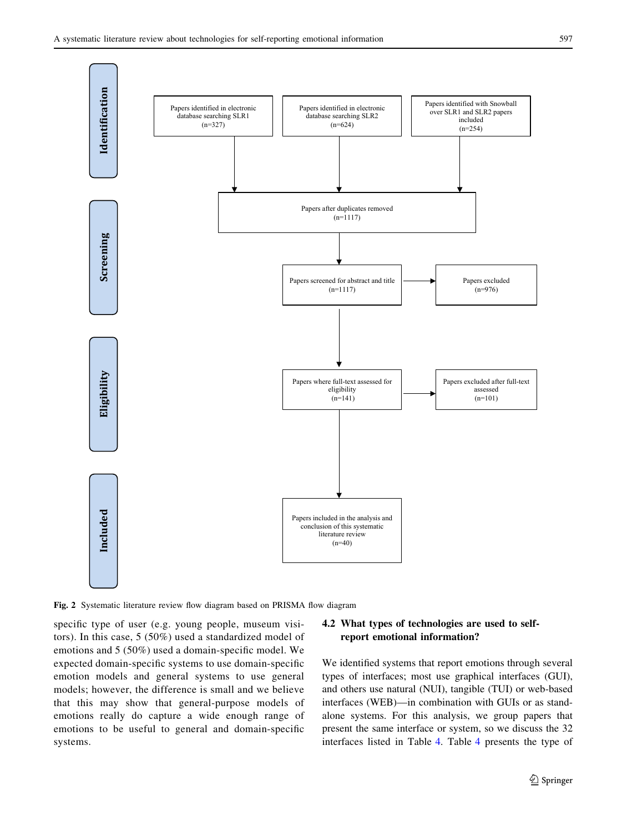<span id="page-4-0"></span>

Fig. 2 Systematic literature review flow diagram based on PRISMA flow diagram

specific type of user (e.g. young people, museum visitors). In this case, 5 (50%) used a standardized model of emotions and 5 (50%) used a domain-specific model. We expected domain-specific systems to use domain-specific emotion models and general systems to use general models; however, the difference is small and we believe that this may show that general-purpose models of emotions really do capture a wide enough range of emotions to be useful to general and domain-specific systems.

## 4.2 What types of technologies are used to selfreport emotional information?

We identified systems that report emotions through several types of interfaces; most use graphical interfaces (GUI), and others use natural (NUI), tangible (TUI) or web-based interfaces (WEB)—in combination with GUIs or as standalone systems. For this analysis, we group papers that present the same interface or system, so we discuss the 32 interfaces listed in Table [4.](#page-7-0) Table [4](#page-7-0) presents the type of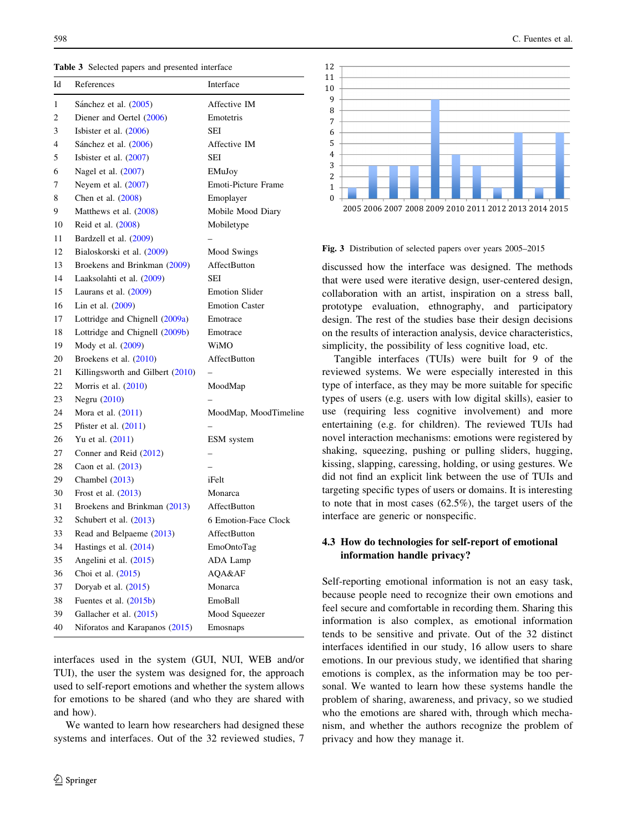Table 3 Selected papers and presented interface

| Id | References                       | Interface             |
|----|----------------------------------|-----------------------|
| 1  | Sánchez et al. (2005)            | Affective IM          |
| 2  | Diener and Oertel (2006)         | Emotetris             |
| 3  | Isbister et al. $(2006)$         | SEI                   |
| 4  | Sánchez et al. (2006)            | Affective IM          |
| 5  | Is bister et al. $(2007)$        | SEI                   |
| 6  | Nagel et al. (2007)              | EMuJoy                |
| 7  | Neyem et al. $(2007)$            | Emoti-Picture Frame   |
| 8  | Chen et al. (2008)               | Emoplayer             |
| 9  | Matthews et al. (2008)           | Mobile Mood Diary     |
| 10 | Reid et al. (2008)               | Mobiletype            |
| 11 | Bardzell et al. (2009)           |                       |
| 12 | Bialoskorski et al. (2009)       | Mood Swings           |
| 13 | Broekens and Brinkman (2009)     | AffectButton          |
| 14 | Laaksolahti et al. (2009)        | SEI                   |
| 15 | Laurans et al. $(2009)$          | <b>Emotion Slider</b> |
| 16 | Lin et al. (2009)                | <b>Emotion Caster</b> |
| 17 | Lottridge and Chignell (2009a)   | Emotrace              |
| 18 | Lottridge and Chignell (2009b)   | Emotrace              |
| 19 | Mody et al. (2009)               | WiMO                  |
| 20 | Broekens et al. (2010)           | AffectButton          |
| 21 | Killingsworth and Gilbert (2010) |                       |
| 22 | Morris et al. $(2010)$           | MoodMap               |
| 23 | Negru (2010)                     |                       |
| 24 | Mora et al. $(2011)$             | MoodMap, MoodTimeline |
| 25 | Pfister et al. $(2011)$          |                       |
| 26 | Yu et al. $(2011)$               | ESM system            |
| 27 | Conner and Reid (2012)           |                       |
| 28 | Caon et al. (2013)               |                       |
| 29 | Chambel $(2013)$                 | iFelt                 |
| 30 | Frost et al. (2013)              | Monarca               |
| 31 | Broekens and Brinkman (2013)     | AffectButton          |
| 32 | Schubert et al. $(2013)$         | 6 Emotion-Face Clock  |
| 33 | Read and Belpaeme (2013)         | AffectButton          |
| 34 | Hastings et al. $(2014)$         | EmoOntoTag            |
| 35 | Angelini et al. (2015)           | ADA Lamp              |
| 36 | Choi et al. (2015)               | AQA&AF                |
| 37 | Doryab et al. (2015)             | Monarca               |
| 38 | Fuentes et al. (2015b)           | EmoBall               |
| 39 | Gallacher et al. (2015)          | Mood Squeezer         |
| 40 | Niforatos and Karapanos (2015)   | Emosnaps              |

interfaces used in the system (GUI, NUI, WEB and/or TUI), the user the system was designed for, the approach used to self-report emotions and whether the system allows for emotions to be shared (and who they are shared with and how).

We wanted to learn how researchers had designed these systems and interfaces. Out of the 32 reviewed studies, 7

<span id="page-5-0"></span>



#### Fig. 3 Distribution of selected papers over years 2005–2015

discussed how the interface was designed. The methods that were used were iterative design, user-centered design, collaboration with an artist, inspiration on a stress ball, prototype evaluation, ethnography, and participatory design. The rest of the studies base their design decisions on the results of interaction analysis, device characteristics, simplicity, the possibility of less cognitive load, etc.

Tangible interfaces (TUIs) were built for 9 of the reviewed systems. We were especially interested in this type of interface, as they may be more suitable for specific types of users (e.g. users with low digital skills), easier to use (requiring less cognitive involvement) and more entertaining (e.g. for children). The reviewed TUIs had novel interaction mechanisms: emotions were registered by shaking, squeezing, pushing or pulling sliders, hugging, kissing, slapping, caressing, holding, or using gestures. We did not find an explicit link between the use of TUIs and targeting specific types of users or domains. It is interesting to note that in most cases (62.5%), the target users of the interface are generic or nonspecific.

#### 4.3 How do technologies for self-report of emotional information handle privacy?

Self-reporting emotional information is not an easy task, because people need to recognize their own emotions and feel secure and comfortable in recording them. Sharing this information is also complex, as emotional information tends to be sensitive and private. Out of the 32 distinct interfaces identified in our study, 16 allow users to share emotions. In our previous study, we identified that sharing emotions is complex, as the information may be too personal. We wanted to learn how these systems handle the problem of sharing, awareness, and privacy, so we studied who the emotions are shared with, through which mechanism, and whether the authors recognize the problem of privacy and how they manage it.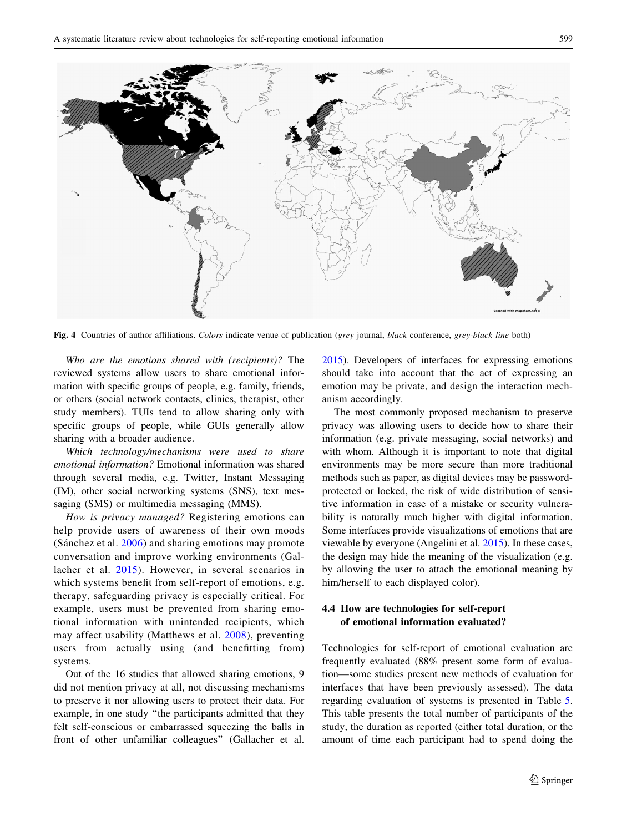<span id="page-6-0"></span>

Fig. 4 Countries of author affiliations. Colors indicate venue of publication (grey journal, black conference, grey-black line both)

Who are the emotions shared with (recipients)? The reviewed systems allow users to share emotional information with specific groups of people, e.g. family, friends, or others (social network contacts, clinics, therapist, other study members). TUIs tend to allow sharing only with specific groups of people, while GUIs generally allow sharing with a broader audience.

Which technology/mechanisms were used to share emotional information? Emotional information was shared through several media, e.g. Twitter, Instant Messaging (IM), other social networking systems (SNS), text messaging (SMS) or multimedia messaging (MMS).

How is privacy managed? Registering emotions can help provide users of awareness of their own moods (Sánchez et al. [2006\)](#page-13-0) and sharing emotions may promote conversation and improve working environments (Gallacher et al. [2015](#page-12-0)). However, in several scenarios in which systems benefit from self-report of emotions, e.g. therapy, safeguarding privacy is especially critical. For example, users must be prevented from sharing emotional information with unintended recipients, which may affect usability (Matthews et al. [2008](#page-13-0)), preventing users from actually using (and benefitting from) systems.

Out of the 16 studies that allowed sharing emotions, 9 did not mention privacy at all, not discussing mechanisms to preserve it nor allowing users to protect their data. For example, in one study ''the participants admitted that they felt self-conscious or embarrassed squeezing the balls in front of other unfamiliar colleagues'' (Gallacher et al.

[2015](#page-12-0)). Developers of interfaces for expressing emotions should take into account that the act of expressing an emotion may be private, and design the interaction mechanism accordingly.

The most commonly proposed mechanism to preserve privacy was allowing users to decide how to share their information (e.g. private messaging, social networks) and with whom. Although it is important to note that digital environments may be more secure than more traditional methods such as paper, as digital devices may be passwordprotected or locked, the risk of wide distribution of sensitive information in case of a mistake or security vulnerability is naturally much higher with digital information. Some interfaces provide visualizations of emotions that are viewable by everyone (Angelini et al. [2015\)](#page-12-0). In these cases, the design may hide the meaning of the visualization (e.g. by allowing the user to attach the emotional meaning by him/herself to each displayed color).

## 4.4 How are technologies for self-report of emotional information evaluated?

Technologies for self-report of emotional evaluation are frequently evaluated (88% present some form of evaluation—some studies present new methods of evaluation for interfaces that have been previously assessed). The data regarding evaluation of systems is presented in Table [5.](#page-9-0) This table presents the total number of participants of the study, the duration as reported (either total duration, or the amount of time each participant had to spend doing the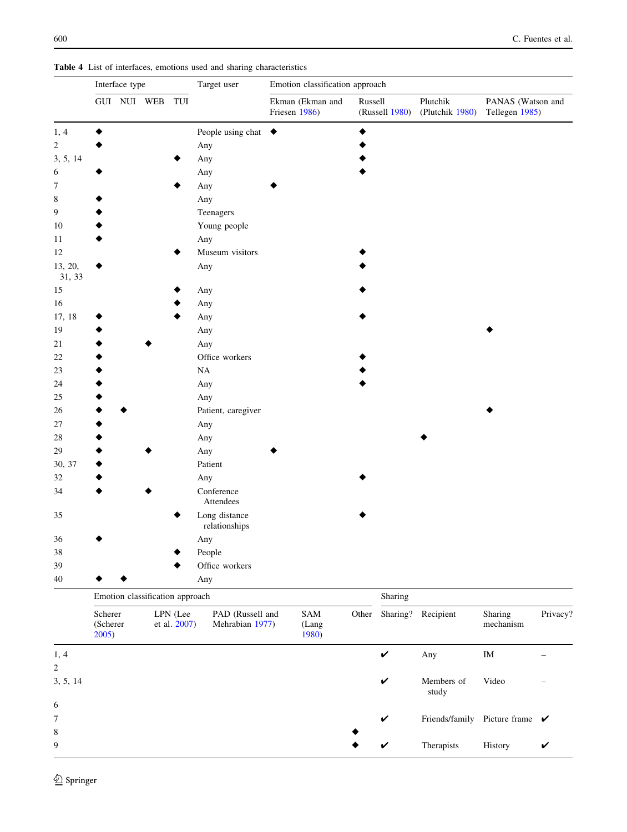<span id="page-7-0"></span>Table 4 List of interfaces, emotions used and sharing characteristics

|                            | Interface type               |                                 |                          | Target user                         | Emotion classification approach |                                   |         |                |                                           |                                     |          |  |
|----------------------------|------------------------------|---------------------------------|--------------------------|-------------------------------------|---------------------------------|-----------------------------------|---------|----------------|-------------------------------------------|-------------------------------------|----------|--|
|                            |                              | GUI NUI WEB TUI                 |                          |                                     |                                 | Ekman (Ekman and<br>Friesen 1986) | Russell | (Russell 1980) | Plutchik<br>(Plutchik 1980)               | PANAS (Watson and<br>Tellegen 1985) |          |  |
| 1, 4                       |                              |                                 |                          | People using chat                   | $\bullet$                       |                                   | ٠       |                |                                           |                                     |          |  |
| $\overline{c}$             |                              |                                 |                          | Any                                 |                                 |                                   |         |                |                                           |                                     |          |  |
| 3, 5, 14                   |                              |                                 |                          | Any                                 |                                 |                                   |         |                |                                           |                                     |          |  |
| 6                          |                              |                                 |                          | Any                                 |                                 |                                   |         |                |                                           |                                     |          |  |
| 7                          |                              |                                 |                          | Any                                 |                                 |                                   |         |                |                                           |                                     |          |  |
| 8                          |                              |                                 |                          | Any                                 |                                 |                                   |         |                |                                           |                                     |          |  |
| 9                          |                              |                                 |                          | Teenagers                           |                                 |                                   |         |                |                                           |                                     |          |  |
| 10                         |                              |                                 |                          | Young people                        |                                 |                                   |         |                |                                           |                                     |          |  |
| 11                         |                              |                                 |                          | Any                                 |                                 |                                   |         |                |                                           |                                     |          |  |
| 12                         |                              |                                 |                          | Museum visitors                     |                                 |                                   |         |                |                                           |                                     |          |  |
| 13, 20,<br>31, 33          |                              |                                 |                          | Any                                 |                                 |                                   |         |                |                                           |                                     |          |  |
| 15                         |                              |                                 |                          | Any                                 |                                 |                                   |         |                |                                           |                                     |          |  |
| 16                         |                              |                                 |                          | Any                                 |                                 |                                   |         |                |                                           |                                     |          |  |
| 17, 18                     |                              |                                 |                          | Any                                 |                                 |                                   |         |                |                                           |                                     |          |  |
| 19                         |                              |                                 |                          | Any                                 |                                 |                                   |         |                |                                           |                                     |          |  |
| 21                         |                              |                                 |                          | Any                                 |                                 |                                   |         |                |                                           |                                     |          |  |
| 22                         |                              |                                 |                          | Office workers                      |                                 |                                   |         |                |                                           |                                     |          |  |
| 23                         |                              |                                 |                          | NA                                  |                                 |                                   |         |                |                                           |                                     |          |  |
| 24                         |                              |                                 |                          | Any                                 |                                 |                                   |         |                |                                           |                                     |          |  |
| 25                         |                              |                                 |                          | Any                                 |                                 |                                   |         |                |                                           |                                     |          |  |
| 26                         |                              |                                 |                          | Patient, caregiver                  |                                 |                                   |         |                |                                           |                                     |          |  |
| 27                         |                              |                                 |                          | Any                                 |                                 |                                   |         |                |                                           |                                     |          |  |
| 28                         |                              |                                 |                          | Any                                 |                                 |                                   |         |                |                                           |                                     |          |  |
| 29                         |                              |                                 |                          | Any                                 |                                 |                                   |         |                |                                           |                                     |          |  |
| 30, 37                     |                              |                                 |                          | Patient                             |                                 |                                   |         |                |                                           |                                     |          |  |
| 32                         |                              |                                 |                          | Any                                 |                                 |                                   |         |                |                                           |                                     |          |  |
| 34                         |                              |                                 |                          | Conference<br>Attendees             |                                 |                                   |         |                |                                           |                                     |          |  |
| 35                         |                              |                                 |                          | Long distance<br>relationships      |                                 |                                   |         |                |                                           |                                     |          |  |
| 36                         |                              |                                 |                          | Any                                 |                                 |                                   |         |                |                                           |                                     |          |  |
| 38                         |                              |                                 |                          | People                              |                                 |                                   |         |                |                                           |                                     |          |  |
| 39                         |                              |                                 |                          | Office workers                      |                                 |                                   |         |                |                                           |                                     |          |  |
| 40                         |                              |                                 |                          | Any                                 |                                 |                                   |         |                |                                           |                                     |          |  |
|                            |                              | Emotion classification approach |                          |                                     |                                 |                                   |         |                |                                           |                                     |          |  |
|                            | Scherer<br>(Scherer<br>2005) |                                 | LPN (Lee<br>et al. 2007) | PAD (Russell and<br>Mehrabian 1977) |                                 | SAM<br>(Lang<br>1980)             | Other   | Sharing?       | Recipient                                 | Sharing<br>mechanism                | Privacy? |  |
| 1, 4                       |                              |                                 |                          |                                     |                                 |                                   |         | $\checkmark$   | Any                                       | IM                                  |          |  |
| $\overline{c}$<br>3, 5, 14 |                              |                                 |                          |                                     |                                 |                                   |         | V              | Members of                                | Video                               |          |  |
|                            |                              |                                 |                          |                                     |                                 |                                   |         |                | study                                     |                                     |          |  |
| 6                          |                              |                                 |                          |                                     |                                 |                                   |         |                |                                           |                                     |          |  |
| 7                          |                              |                                 |                          |                                     |                                 |                                   |         | V              | Friends/family Picture frame $\checkmark$ |                                     |          |  |
| 8                          |                              |                                 |                          |                                     |                                 |                                   |         |                |                                           |                                     |          |  |
| $\boldsymbol{9}$           |                              |                                 |                          |                                     |                                 |                                   |         | V              | Therapists                                | History                             | V        |  |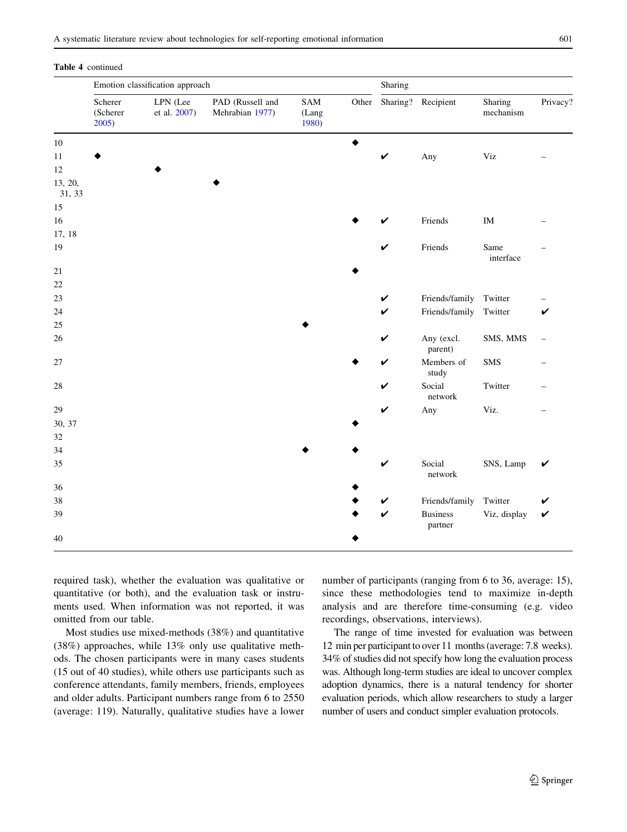#### Table 4 continued

|                   | Emotion classification approach |                          |                                     |                       |       |              | Sharing                    |                      |          |  |
|-------------------|---------------------------------|--------------------------|-------------------------------------|-----------------------|-------|--------------|----------------------------|----------------------|----------|--|
|                   | Scherer<br>(Scherer<br>2005)    | LPN (Lee<br>et al. 2007) | PAD (Russell and<br>Mehrabian 1977) | SAM<br>(Lang<br>1980) | Other | Sharing?     | Recipient                  | Sharing<br>mechanism | Privacy? |  |
| $10\,$            |                                 |                          |                                     |                       | ♦     |              |                            |                      |          |  |
| 11                |                                 |                          |                                     |                       |       | $\checkmark$ | Any                        | Viz                  |          |  |
| 12                |                                 |                          |                                     |                       |       |              |                            |                      |          |  |
| 13, 20,<br>31, 33 |                                 |                          |                                     |                       |       |              |                            |                      |          |  |
| $15\,$            |                                 |                          |                                     |                       |       |              |                            |                      |          |  |
| 16                |                                 |                          |                                     |                       |       | V            | Friends                    | $\rm IM$             |          |  |
| 17, 18            |                                 |                          |                                     |                       |       |              |                            |                      |          |  |
| 19                |                                 |                          |                                     |                       |       | $\checkmark$ | Friends                    | Same<br>interface    |          |  |
| 21                |                                 |                          |                                     |                       |       |              |                            |                      |          |  |
| 22                |                                 |                          |                                     |                       |       |              |                            |                      |          |  |
| 23                |                                 |                          |                                     |                       |       | V            | Friends/family             | Twitter              |          |  |
| 24                |                                 |                          |                                     |                       |       | $\checkmark$ | Friends/family             | Twitter              | V        |  |
| 25                |                                 |                          |                                     |                       |       |              |                            |                      |          |  |
| 26                |                                 |                          |                                     |                       |       | V            | Any (excl.<br>parent)      | SMS, MMS             |          |  |
| $27\,$            |                                 |                          |                                     |                       |       | V            | Members of<br>study        | <b>SMS</b>           |          |  |
| 28                |                                 |                          |                                     |                       |       | V            | Social<br>network          | Twitter              |          |  |
| 29                |                                 |                          |                                     |                       |       | V            | Any                        | Viz.                 |          |  |
| 30, 37            |                                 |                          |                                     |                       |       |              |                            |                      |          |  |
| 32                |                                 |                          |                                     |                       |       |              |                            |                      |          |  |
| 34                |                                 |                          |                                     |                       |       |              |                            |                      |          |  |
| 35                |                                 |                          |                                     |                       |       | V            | Social<br>network          | SNS, Lamp            | V        |  |
| 36                |                                 |                          |                                     |                       |       |              |                            |                      |          |  |
| 38                |                                 |                          |                                     |                       |       | V            | Friends/family             | Twitter              | V        |  |
| 39                |                                 |                          |                                     |                       |       | $\checkmark$ | <b>Business</b><br>partner | Viz, display         | V        |  |
| 40                |                                 |                          |                                     |                       |       |              |                            |                      |          |  |

required task), whether the evaluation was qualitative or quantitative (or both), and the evaluation task or instruments used. When information was not reported, it was omitted from our table.

Most studies use mixed-methods (38%) and quantitative (38%) approaches, while 13% only use qualitative methods. The chosen participants were in many cases students (15 out of 40 studies), while others use participants such as conference attendants, family members, friends, employees and older adults. Participant numbers range from 6 to 2550 (average: 119). Naturally, qualitative studies have a lower number of participants (ranging from 6 to 36, average: 15), since these methodologies tend to maximize in-depth analysis and are therefore time-consuming (e.g. video recordings, observations, interviews).

The range of time invested for evaluation was between 12 min per participant to over 11 months (average: 7.8 weeks). 34% of studies did not specify how long the evaluation process was. Although long-term studies are ideal to uncover complex adoption dynamics, there is a natural tendency for shorter evaluation periods, which allow researchers to study a larger number of users and conduct simpler evaluation protocols.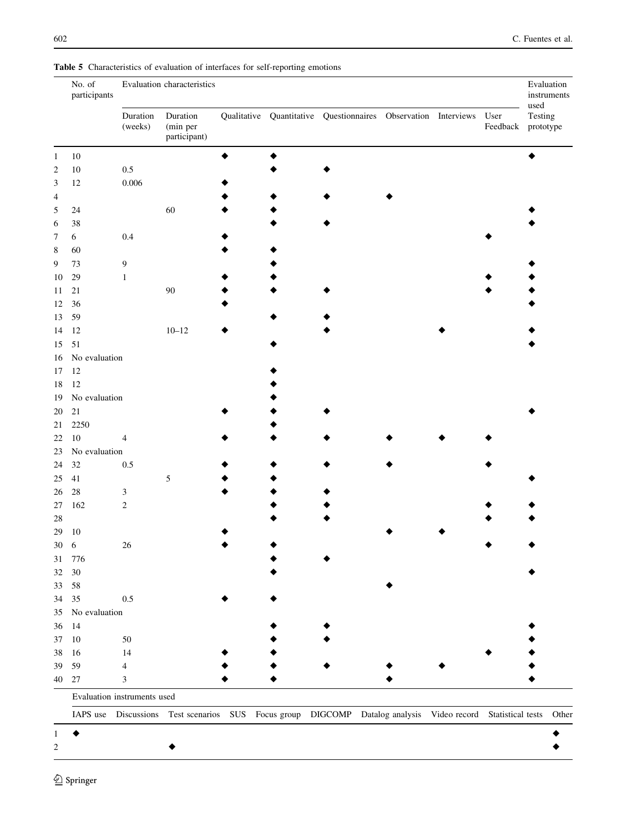|                | No. of<br>participants      | Evaluation characteristics |                                      |  |  |  |                                                                                                             |  |                  | Evaluation<br>instruments<br>used |
|----------------|-----------------------------|----------------------------|--------------------------------------|--|--|--|-------------------------------------------------------------------------------------------------------------|--|------------------|-----------------------------------|
|                |                             | Duration<br>(weeks)        | Duration<br>(min per<br>participant) |  |  |  | Qualitative Quantitative Questionnaires Observation Interviews                                              |  | User<br>Feedback | Testing<br>prototype              |
| $\mathbf{1}$   | $10\,$                      |                            |                                      |  |  |  |                                                                                                             |  |                  |                                   |
| $\sqrt{2}$     | $10\,$                      | $0.5\,$                    |                                      |  |  |  |                                                                                                             |  |                  |                                   |
| 3              | $12\,$                      | 0.006                      |                                      |  |  |  |                                                                                                             |  |                  |                                   |
| $\overline{4}$ |                             |                            |                                      |  |  |  |                                                                                                             |  |                  |                                   |
| 5              | 24                          |                            | 60                                   |  |  |  |                                                                                                             |  |                  |                                   |
| 6              | 38                          |                            |                                      |  |  |  |                                                                                                             |  |                  |                                   |
| 7              | $\sqrt{6}$                  | 0.4                        |                                      |  |  |  |                                                                                                             |  |                  |                                   |
| 8              | 60                          |                            |                                      |  |  |  |                                                                                                             |  |                  |                                   |
| 9              | 73                          | $\overline{9}$             |                                      |  |  |  |                                                                                                             |  |                  |                                   |
| 10             | 29                          | $\mathbf{1}$               |                                      |  |  |  |                                                                                                             |  |                  |                                   |
| 11             | 21                          |                            | $90\,$                               |  |  |  |                                                                                                             |  |                  |                                   |
| 12             | 36                          |                            |                                      |  |  |  |                                                                                                             |  |                  |                                   |
| 13             | 59                          |                            |                                      |  |  |  |                                                                                                             |  |                  |                                   |
|                | 12                          |                            | $10 - 12$                            |  |  |  |                                                                                                             |  |                  |                                   |
| 14             | 51                          |                            |                                      |  |  |  |                                                                                                             |  |                  |                                   |
| 15             |                             |                            |                                      |  |  |  |                                                                                                             |  |                  |                                   |
| 16             | No evaluation               |                            |                                      |  |  |  |                                                                                                             |  |                  |                                   |
| 17             | 12                          |                            |                                      |  |  |  |                                                                                                             |  |                  |                                   |
| 18             | 12                          |                            |                                      |  |  |  |                                                                                                             |  |                  |                                   |
| 19             | No evaluation               |                            |                                      |  |  |  |                                                                                                             |  |                  |                                   |
| 20             | 21                          |                            |                                      |  |  |  |                                                                                                             |  |                  |                                   |
| 21             | 2250                        |                            |                                      |  |  |  |                                                                                                             |  |                  |                                   |
| 22             | $10\,$                      | $\overline{4}$             |                                      |  |  |  |                                                                                                             |  |                  |                                   |
| 23             | No evaluation               |                            |                                      |  |  |  |                                                                                                             |  |                  |                                   |
| 24             | 32                          | $0.5\,$                    |                                      |  |  |  |                                                                                                             |  |                  |                                   |
| 25             | 41                          |                            | $\sqrt{5}$                           |  |  |  |                                                                                                             |  |                  |                                   |
| 26             | $28\,$                      | $\sqrt{3}$                 |                                      |  |  |  |                                                                                                             |  |                  |                                   |
| $27\,$         | 162                         | $\sqrt{2}$                 |                                      |  |  |  |                                                                                                             |  |                  |                                   |
| 28             |                             |                            |                                      |  |  |  |                                                                                                             |  |                  |                                   |
| 29             | $10\,$                      |                            |                                      |  |  |  |                                                                                                             |  |                  |                                   |
| $30\quad 6$    |                             | $26\,$                     |                                      |  |  |  |                                                                                                             |  |                  |                                   |
| 31             | 776                         |                            |                                      |  |  |  |                                                                                                             |  |                  |                                   |
| 32             | $30\,$                      |                            |                                      |  |  |  |                                                                                                             |  |                  |                                   |
| 33             | 58                          |                            |                                      |  |  |  |                                                                                                             |  |                  |                                   |
| 34             | 35                          | $0.5\,$                    |                                      |  |  |  |                                                                                                             |  |                  |                                   |
| 35             | No evaluation               |                            |                                      |  |  |  |                                                                                                             |  |                  |                                   |
| 36             | 14                          |                            |                                      |  |  |  |                                                                                                             |  |                  |                                   |
| 37             | 10                          | $50\,$                     |                                      |  |  |  |                                                                                                             |  |                  |                                   |
| 38             | 16                          | 14                         |                                      |  |  |  |                                                                                                             |  |                  |                                   |
| 39             | 59                          | 4                          |                                      |  |  |  |                                                                                                             |  |                  |                                   |
| 40             | 27                          | 3                          |                                      |  |  |  |                                                                                                             |  |                  |                                   |
|                | Evaluation instruments used |                            |                                      |  |  |  |                                                                                                             |  |                  |                                   |
|                |                             |                            |                                      |  |  |  | IAPS use Discussions Test scenarios SUS Focus group DIGCOMP Datalog analysis Video record Statistical tests |  |                  | Other                             |
| 1              |                             |                            |                                      |  |  |  |                                                                                                             |  |                  |                                   |
| 2              |                             |                            |                                      |  |  |  |                                                                                                             |  |                  |                                   |

<span id="page-9-0"></span>Table 5 Characteristics of evaluation of interfaces for self-reporting emotions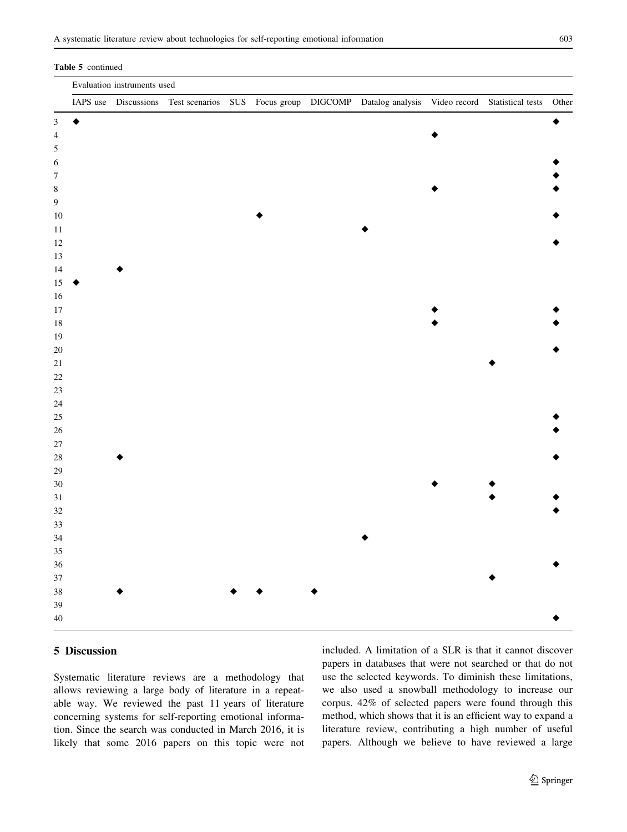#### Table 5 continued

|                  | Evaluation instruments used |  |  |  |  |  |                                                                                                                   |  |  |  |
|------------------|-----------------------------|--|--|--|--|--|-------------------------------------------------------------------------------------------------------------------|--|--|--|
|                  |                             |  |  |  |  |  | IAPS use Discussions Test scenarios SUS Focus group DIGCOMP Datalog analysis Video record Statistical tests Other |  |  |  |
| $\mathfrak{Z}$   | ٠                           |  |  |  |  |  |                                                                                                                   |  |  |  |
| $\overline{4}$   |                             |  |  |  |  |  |                                                                                                                   |  |  |  |
| $\sqrt{5}$       |                             |  |  |  |  |  |                                                                                                                   |  |  |  |
| $\sqrt{6}$       |                             |  |  |  |  |  |                                                                                                                   |  |  |  |
| $\boldsymbol{7}$ |                             |  |  |  |  |  |                                                                                                                   |  |  |  |
| $\,$ 8 $\,$      |                             |  |  |  |  |  |                                                                                                                   |  |  |  |
| $\boldsymbol{9}$ |                             |  |  |  |  |  |                                                                                                                   |  |  |  |
| $10\,$           |                             |  |  |  |  |  |                                                                                                                   |  |  |  |
| $11\,$           |                             |  |  |  |  |  |                                                                                                                   |  |  |  |
| $12\,$           |                             |  |  |  |  |  |                                                                                                                   |  |  |  |
| 13               |                             |  |  |  |  |  |                                                                                                                   |  |  |  |
| $14\,$           |                             |  |  |  |  |  |                                                                                                                   |  |  |  |
| $15\,$           |                             |  |  |  |  |  |                                                                                                                   |  |  |  |
| 16               |                             |  |  |  |  |  |                                                                                                                   |  |  |  |
| $17\,$           |                             |  |  |  |  |  |                                                                                                                   |  |  |  |
| $18\,$           |                             |  |  |  |  |  |                                                                                                                   |  |  |  |
| $19\,$           |                             |  |  |  |  |  |                                                                                                                   |  |  |  |
| $20\,$           |                             |  |  |  |  |  |                                                                                                                   |  |  |  |
| $21\,$           |                             |  |  |  |  |  |                                                                                                                   |  |  |  |
| $22\,$           |                             |  |  |  |  |  |                                                                                                                   |  |  |  |
| 23               |                             |  |  |  |  |  |                                                                                                                   |  |  |  |
| 24               |                             |  |  |  |  |  |                                                                                                                   |  |  |  |
| $25\,$           |                             |  |  |  |  |  |                                                                                                                   |  |  |  |
| $26\,$           |                             |  |  |  |  |  |                                                                                                                   |  |  |  |
| $27\,$           |                             |  |  |  |  |  |                                                                                                                   |  |  |  |
| $28\,$           |                             |  |  |  |  |  |                                                                                                                   |  |  |  |
| 29               |                             |  |  |  |  |  |                                                                                                                   |  |  |  |
| $30\,$           |                             |  |  |  |  |  |                                                                                                                   |  |  |  |
| $31\,$           |                             |  |  |  |  |  |                                                                                                                   |  |  |  |
| 32               |                             |  |  |  |  |  |                                                                                                                   |  |  |  |
| 33               |                             |  |  |  |  |  |                                                                                                                   |  |  |  |
| 34               |                             |  |  |  |  |  |                                                                                                                   |  |  |  |
| 35               |                             |  |  |  |  |  |                                                                                                                   |  |  |  |
| 36               |                             |  |  |  |  |  |                                                                                                                   |  |  |  |
| $37\,$           |                             |  |  |  |  |  |                                                                                                                   |  |  |  |
| 38               |                             |  |  |  |  |  |                                                                                                                   |  |  |  |
| 39               |                             |  |  |  |  |  |                                                                                                                   |  |  |  |
| $40\,$           |                             |  |  |  |  |  |                                                                                                                   |  |  |  |
|                  |                             |  |  |  |  |  |                                                                                                                   |  |  |  |

## 5 Discussion

Systematic literature reviews are a methodology that allows reviewing a large body of literature in a repeatable way. We reviewed the past 11 years of literature concerning systems for self-reporting emotional information. Since the search was conducted in March 2016, it is likely that some 2016 papers on this topic were not included. A limitation of a SLR is that it cannot discover papers in databases that were not searched or that do not use the selected keywords. To diminish these limitations, we also used a snowball methodology to increase our corpus. 42% of selected papers were found through this method, which shows that it is an efficient way to expand a literature review, contributing a high number of useful papers. Although we believe to have reviewed a large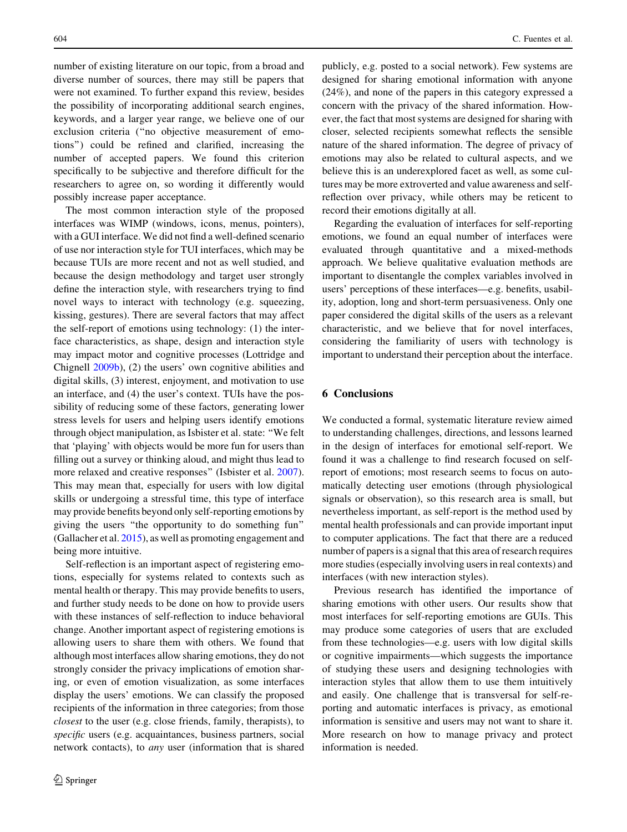number of existing literature on our topic, from a broad and diverse number of sources, there may still be papers that were not examined. To further expand this review, besides the possibility of incorporating additional search engines, keywords, and a larger year range, we believe one of our exclusion criteria (''no objective measurement of emotions'') could be refined and clarified, increasing the number of accepted papers. We found this criterion specifically to be subjective and therefore difficult for the researchers to agree on, so wording it differently would possibly increase paper acceptance.

The most common interaction style of the proposed interfaces was WIMP (windows, icons, menus, pointers), with a GUI interface. We did not find a well-defined scenario of use nor interaction style for TUI interfaces, which may be because TUIs are more recent and not as well studied, and because the design methodology and target user strongly define the interaction style, with researchers trying to find novel ways to interact with technology (e.g. squeezing, kissing, gestures). There are several factors that may affect the self-report of emotions using technology: (1) the interface characteristics, as shape, design and interaction style may impact motor and cognitive processes (Lottridge and Chignell [2009b\)](#page-13-0), (2) the users' own cognitive abilities and digital skills, (3) interest, enjoyment, and motivation to use an interface, and (4) the user's context. TUIs have the possibility of reducing some of these factors, generating lower stress levels for users and helping users identify emotions through object manipulation, as Isbister et al. state: ''We felt that 'playing' with objects would be more fun for users than filling out a survey or thinking aloud, and might thus lead to more relaxed and creative responses" (Isbister et al. [2007](#page-12-0)). This may mean that, especially for users with low digital skills or undergoing a stressful time, this type of interface may provide benefits beyond only self-reporting emotions by giving the users ''the opportunity to do something fun'' (Gallacher et al. [2015](#page-12-0)), as well as promoting engagement and being more intuitive.

Self-reflection is an important aspect of registering emotions, especially for systems related to contexts such as mental health or therapy. This may provide benefits to users, and further study needs to be done on how to provide users with these instances of self-reflection to induce behavioral change. Another important aspect of registering emotions is allowing users to share them with others. We found that although most interfaces allow sharing emotions, they do not strongly consider the privacy implications of emotion sharing, or even of emotion visualization, as some interfaces display the users' emotions. We can classify the proposed recipients of the information in three categories; from those closest to the user (e.g. close friends, family, therapists), to specific users (e.g. acquaintances, business partners, social network contacts), to any user (information that is shared publicly, e.g. posted to a social network). Few systems are designed for sharing emotional information with anyone (24%), and none of the papers in this category expressed a concern with the privacy of the shared information. However, the fact that most systems are designed for sharing with closer, selected recipients somewhat reflects the sensible nature of the shared information. The degree of privacy of emotions may also be related to cultural aspects, and we believe this is an underexplored facet as well, as some cultures may be more extroverted and value awareness and selfreflection over privacy, while others may be reticent to record their emotions digitally at all.

Regarding the evaluation of interfaces for self-reporting emotions, we found an equal number of interfaces were evaluated through quantitative and a mixed-methods approach. We believe qualitative evaluation methods are important to disentangle the complex variables involved in users' perceptions of these interfaces—e.g. benefits, usability, adoption, long and short-term persuasiveness. Only one paper considered the digital skills of the users as a relevant characteristic, and we believe that for novel interfaces, considering the familiarity of users with technology is important to understand their perception about the interface.

#### 6 Conclusions

We conducted a formal, systematic literature review aimed to understanding challenges, directions, and lessons learned in the design of interfaces for emotional self-report. We found it was a challenge to find research focused on selfreport of emotions; most research seems to focus on automatically detecting user emotions (through physiological signals or observation), so this research area is small, but nevertheless important, as self-report is the method used by mental health professionals and can provide important input to computer applications. The fact that there are a reduced number of papers is a signal that this area of research requires more studies (especially involving users in real contexts) and interfaces (with new interaction styles).

Previous research has identified the importance of sharing emotions with other users. Our results show that most interfaces for self-reporting emotions are GUIs. This may produce some categories of users that are excluded from these technologies—e.g. users with low digital skills or cognitive impairments—which suggests the importance of studying these users and designing technologies with interaction styles that allow them to use them intuitively and easily. One challenge that is transversal for self-reporting and automatic interfaces is privacy, as emotional information is sensitive and users may not want to share it. More research on how to manage privacy and protect information is needed.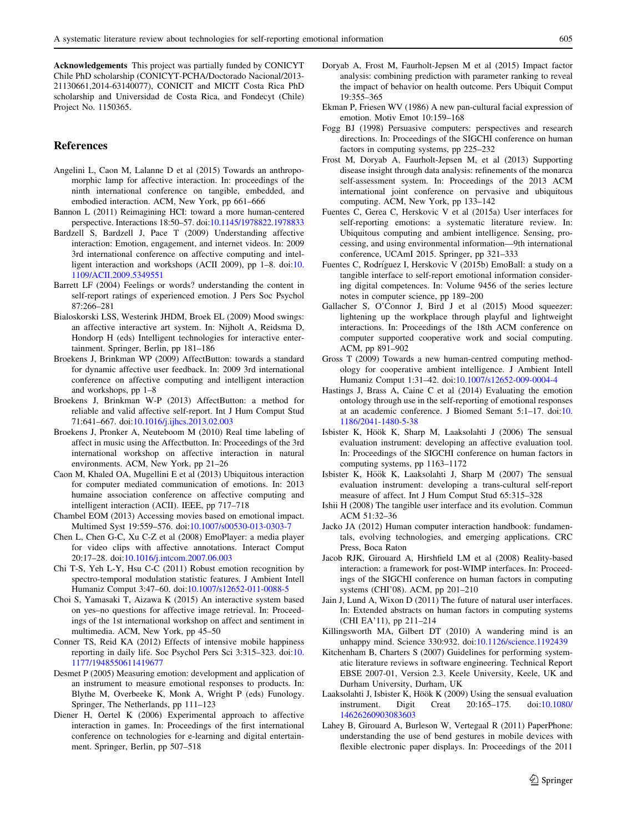<span id="page-12-0"></span>Acknowledgements This project was partially funded by CONICYT Chile PhD scholarship (CONICYT-PCHA/Doctorado Nacional/2013- 21130661,2014-63140077), CONICIT and MICIT Costa Rica PhD scholarship and Universidad de Costa Rica, and Fondecyt (Chile) Project No. 1150365.

#### References

- Angelini L, Caon M, Lalanne D et al (2015) Towards an anthropomorphic lamp for affective interaction. In: proceedings of the ninth international conference on tangible, embedded, and embodied interaction. ACM, New York, pp 661–666
- Bannon L (2011) Reimagining HCI: toward a more human-centered perspective. Interactions 18:50–57. doi:[10.1145/1978822.1978833](http://dx.doi.org/10.1145/1978822.1978833)
- Bardzell S, Bardzell J, Pace T (2009) Understanding affective interaction: Emotion, engagement, and internet videos. In: 2009 3rd international conference on affective computing and intelligent interaction and workshops (ACII 2009), pp 1–8. doi:[10.](http://dx.doi.org/10.1109/ACII.2009.5349551) [1109/ACII.2009.5349551](http://dx.doi.org/10.1109/ACII.2009.5349551)
- Barrett LF (2004) Feelings or words? understanding the content in self-report ratings of experienced emotion. J Pers Soc Psychol 87:266–281
- Bialoskorski LSS, Westerink JHDM, Broek EL (2009) Mood swings: an affective interactive art system. In: Nijholt A, Reidsma D, Hondorp H (eds) Intelligent technologies for interactive entertainment. Springer, Berlin, pp 181–186
- Broekens J, Brinkman WP (2009) AffectButton: towards a standard for dynamic affective user feedback. In: 2009 3rd international conference on affective computing and intelligent interaction and workshops, pp 1–8
- Broekens J, Brinkman W-P (2013) AffectButton: a method for reliable and valid affective self-report. Int J Hum Comput Stud 71:641–667. doi:[10.1016/j.ijhcs.2013.02.003](http://dx.doi.org/10.1016/j.ijhcs.2013.02.003)
- Broekens J, Pronker A, Neuteboom M (2010) Real time labeling of affect in music using the Affectbutton. In: Proceedings of the 3rd international workshop on affective interaction in natural environments. ACM, New York, pp 21–26
- Caon M, Khaled OA, Mugellini E et al (2013) Ubiquitous interaction for computer mediated communication of emotions. In: 2013 humaine association conference on affective computing and intelligent interaction (ACII). IEEE, pp 717–718
- Chambel EOM (2013) Accessing movies based on emotional impact. Multimed Syst 19:559–576. doi[:10.1007/s00530-013-0303-7](http://dx.doi.org/10.1007/s00530-013-0303-7)
- Chen L, Chen G-C, Xu C-Z et al (2008) EmoPlayer: a media player for video clips with affective annotations. Interact Comput 20:17–28. doi[:10.1016/j.intcom.2007.06.003](http://dx.doi.org/10.1016/j.intcom.2007.06.003)
- Chi T-S, Yeh L-Y, Hsu C-C (2011) Robust emotion recognition by spectro-temporal modulation statistic features. J Ambient Intell Humaniz Comput 3:47–60. doi[:10.1007/s12652-011-0088-5](http://dx.doi.org/10.1007/s12652-011-0088-5)
- Choi S, Yamasaki T, Aizawa K (2015) An interactive system based on yes–no questions for affective image retrieval. In: Proceedings of the 1st international workshop on affect and sentiment in multimedia. ACM, New York, pp 45–50
- Conner TS, Reid KA (2012) Effects of intensive mobile happiness reporting in daily life. Soc Psychol Pers Sci 3:315–323. doi:[10.](http://dx.doi.org/10.1177/1948550611419677) [1177/1948550611419677](http://dx.doi.org/10.1177/1948550611419677)
- Desmet P (2005) Measuring emotion: development and application of an instrument to measure emotional responses to products. In: Blythe M, Overbeeke K, Monk A, Wright P (eds) Funology. Springer, The Netherlands, pp 111–123
- Diener H, Oertel K (2006) Experimental approach to affective interaction in games. In: Proceedings of the first international conference on technologies for e-learning and digital entertainment. Springer, Berlin, pp 507–518
- Doryab A, Frost M, Faurholt-Jepsen M et al (2015) Impact factor analysis: combining prediction with parameter ranking to reveal the impact of behavior on health outcome. Pers Ubiquit Comput 19:355–365
- Ekman P, Friesen WV (1986) A new pan-cultural facial expression of emotion. Motiv Emot 10:159–168
- Fogg BJ (1998) Persuasive computers: perspectives and research directions. In: Proceedings of the SIGCHI conference on human factors in computing systems, pp 225–232
- Frost M, Doryab A, Faurholt-Jepsen M, et al (2013) Supporting disease insight through data analysis: refinements of the monarca self-assessment system. In: Proceedings of the 2013 ACM international joint conference on pervasive and ubiquitous computing. ACM, New York, pp 133–142
- Fuentes C, Gerea C, Herskovic V et al (2015a) User interfaces for self-reporting emotions: a systematic literature review. In: Ubiquitous computing and ambient intelligence. Sensing, processing, and using environmental information—9th international conference, UCAmI 2015. Springer, pp 321–333
- Fuentes C, Rodríguez I, Herskovic V (2015b) EmoBall: a study on a tangible interface to self-report emotional information considering digital competences. In: Volume 9456 of the series lecture notes in computer science, pp 189–200
- Gallacher S, O'Connor J, Bird J et al (2015) Mood squeezer: lightening up the workplace through playful and lightweight interactions. In: Proceedings of the 18th ACM conference on computer supported cooperative work and social computing. ACM, pp 891–902
- Gross T (2009) Towards a new human-centred computing methodology for cooperative ambient intelligence. J Ambient Intell Humaniz Comput 1:31–42. doi[:10.1007/s12652-009-0004-4](http://dx.doi.org/10.1007/s12652-009-0004-4)
- Hastings J, Brass A, Caine C et al (2014) Evaluating the emotion ontology through use in the self-reporting of emotional responses at an academic conference. J Biomed Semant 5:1–17. doi:[10.](http://dx.doi.org/10.1186/2041-1480-5-38) [1186/2041-1480-5-38](http://dx.doi.org/10.1186/2041-1480-5-38)
- Isbister K, Höök K, Sharp M, Laaksolahti J (2006) The sensual evaluation instrument: developing an affective evaluation tool. In: Proceedings of the SIGCHI conference on human factors in computing systems, pp 1163–1172
- Isbister K, Höök K, Laaksolahti J, Sharp M (2007) The sensual evaluation instrument: developing a trans-cultural self-report measure of affect. Int J Hum Comput Stud 65:315–328
- Ishii H (2008) The tangible user interface and its evolution. Commun ACM 51:32–36
- Jacko JA (2012) Human computer interaction handbook: fundamentals, evolving technologies, and emerging applications. CRC Press, Boca Raton
- Jacob RJK, Girouard A, Hirshfield LM et al (2008) Reality-based interaction: a framework for post-WIMP interfaces. In: Proceedings of the SIGCHI conference on human factors in computing systems (CHI'08). ACM, pp 201–210
- Jain J, Lund A, Wixon D (2011) The future of natural user interfaces. In: Extended abstracts on human factors in computing systems (CHI EA'11), pp 211–214
- Killingsworth MA, Gilbert DT (2010) A wandering mind is an unhappy mind. Science 330:932. doi:[10.1126/science.1192439](http://dx.doi.org/10.1126/science.1192439)
- Kitchenham B, Charters S (2007) Guidelines for performing systematic literature reviews in software engineering. Technical Report EBSE 2007-01, Version 2.3. Keele University, Keele, UK and Durham University, Durham, UK
- Laaksolahti J, Isbister K, Höök K (2009) Using the sensual evaluation instrument. Digit Creat 20:165–175. doi[:10.1080/](http://dx.doi.org/10.1080/14626260903083603) [14626260903083603](http://dx.doi.org/10.1080/14626260903083603)
- Lahey B, Girouard A, Burleson W, Vertegaal R (2011) PaperPhone: understanding the use of bend gestures in mobile devices with flexible electronic paper displays. In: Proceedings of the 2011